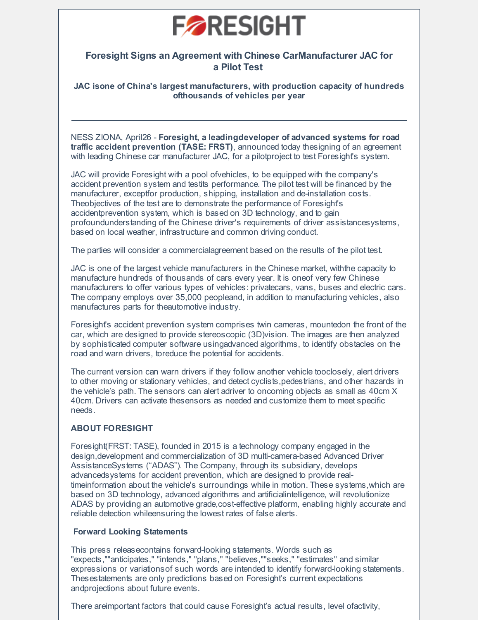

## **Foresight Signs an Agreement with Chinese CarManufacturer JAC for a Pilot Test**

**JAC isone of China's largest manufacturers, with production capacity of hundreds ofthousands of vehicles per year**

NESS ZIONA, April26 - **Foresight, a leadingdeveloper of advanced systems for road traffic accident prevention (TASE: FRST)**, announced today thesigning of an agreement with leading Chinese car manufacturer JAC, for a pilotproject to test Foresight's system.

JAC will provide Foresight with a pool ofvehicles, to be equipped with the company's accident prevention system and testits performance. The pilot test will be financed by the manufacturer, exceptfor production, shipping, installation and de-installation costs. Theobjectives of the test are to demonstrate the performance of Foresight's accidentprevention system, which is based on 3D technology, and to gain profoundunderstanding of the Chinese driver's requirements of driver assistancesystems, based on local weather, infrastructure and common driving conduct.

The parties will consider a commercialagreement based on the results of the pilot test.

JAC is one of the largest vehicle manufacturers in the Chinese market, withthe capacity to manufacture hundreds of thousands of cars every year. It is oneof very few Chinese manufacturers to offer various types of vehicles: privatecars, vans, buses and electric cars. The company employs over 35,000 peopleand, in addition to manufacturing vehicles, also manufactures parts for theautomotive industry.

Foresight's accident prevention system comprises twin cameras, mountedon the front of the car, which are designed to provide stereoscopic (3D)vision. The images are then analyzed by sophisticated computer software usingadvanced algorithms, to identify obstacles on the road and warn drivers, toreduce the potential for accidents.

The current version can warn drivers if they follow another vehicle tooclosely, alert drivers to other moving or stationary vehicles, and detect cyclists,pedestrians, and other hazards in the vehicle's path. The sensors can alert adriver to oncoming objects as small as 40cm X 40cm. Drivers can activate thesensors as needed and customize them to meet specific needs.

## **ABOUT FORESIGHT**

Foresight(FRST: TASE), founded in 2015 is a technology company engaged in the design,development and commercialization of 3D multi-camera-based Advanced Driver AssistanceSystems ("ADAS"). The Company, through its subsidiary, develops advancedsystems for accident prevention, which are designed to provide realtimeinformation about the vehicle's surroundings while in motion. These systems, which are based on 3D technology, advanced algorithms and artificialintelligence, will revolutionize ADAS by providing an automotive grade,cost-effective platform, enabling highly accurate and reliable detection whileensuring the lowest rates of false alerts.

## **Forward Looking Statements**

This press releasecontains forward-looking statements. Words such as "expects,""anticipates," "intends," "plans," "believes,""seeks," "estimates" and similar expressions or variationsof such words are intended to identify forward-looking statements. Thesestatements are only predictions based on Foresight's current expectations andprojections about future events.

There areimportant factors that could cause Foresight's actual results, level ofactivity,